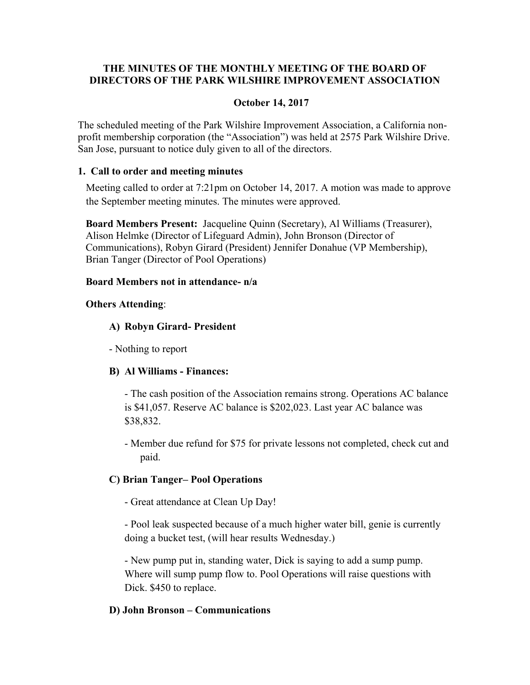# **THE MINUTES OF THE MONTHLY MEETING OF THE BOARD OF DIRECTORS OF THE PARK WILSHIRE IMPROVEMENT ASSOCIATION**

### **October 14, 2017**

The scheduled meeting of the Park Wilshire Improvement Association, a California nonprofit membership corporation (the "Association") was held at 2575 Park Wilshire Drive. San Jose, pursuant to notice duly given to all of the directors.

### **1. Call to order and meeting minutes**

Meeting called to order at 7:21pm on October 14, 2017. A motion was made to approve the September meeting minutes. The minutes were approved.

**Board Members Present:** Jacqueline Quinn (Secretary), Al Williams (Treasurer), Alison Helmke (Director of Lifeguard Admin), John Bronson (Director of Communications), Robyn Girard (President) Jennifer Donahue (VP Membership), Brian Tanger (Director of Pool Operations)

## **Board Members not in attendance- n/a**

## **Others Attending**:

## **A) Robyn Girard- President**

- Nothing to report

# **B) Al Williams - Finances:**

- The cash position of the Association remains strong. Operations AC balance is \$41,057. Reserve AC balance is \$202,023. Last year AC balance was \$38,832.

- Member due refund for \$75 for private lessons not completed, check cut and paid.

# **C) Brian Tanger– Pool Operations**

- Great attendance at Clean Up Day!

 - Pool leak suspected because of a much higher water bill, genie is currently doing a bucket test, (will hear results Wednesday.)

 - New pump put in, standing water, Dick is saying to add a sump pump. Where will sump pump flow to. Pool Operations will raise questions with Dick. \$450 to replace.

### **D) John Bronson – Communications**